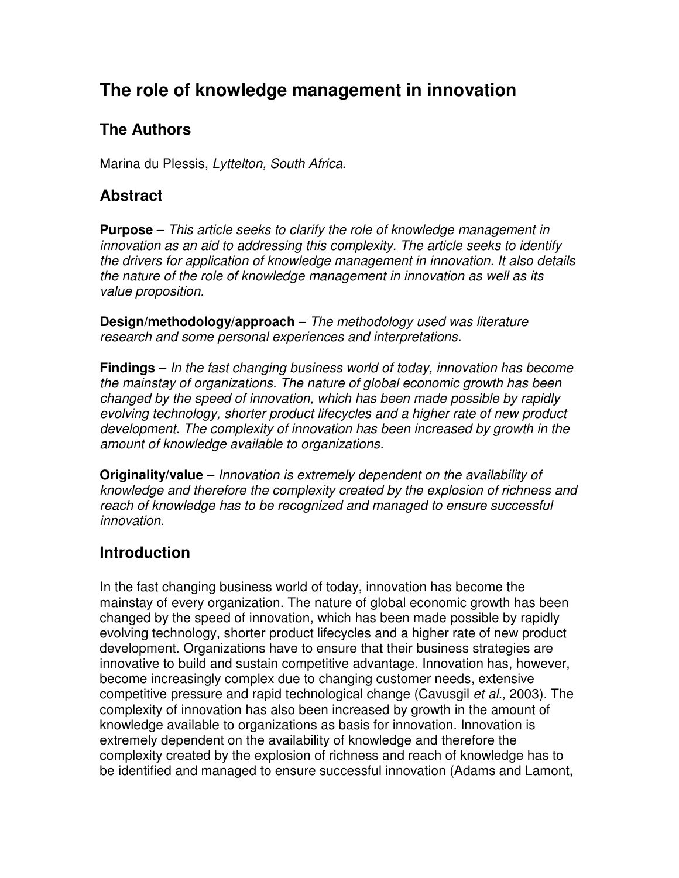# **The role of knowledge management in innovation**

# **The Authors**

Marina du Plessis, *Lyttelton, South Africa.*

# **Abstract**

**Purpose** – *This article seeks to clarify the role of knowledge management in innovation as an aid to addressing this complexity. The article seeks to identify the drivers for application of knowledge management in innovation. It also details the nature of the role of knowledge management in innovation as well as its value proposition.*

**Design/methodology/approach** – *The methodology used was literature research and some personal experiences and interpretations.*

**Findings** – *In the fast changing business world of today, innovation has become the mainstay of organizations. The nature of global economic growth has been changed by the speed of innovation, which has been made possible by rapidly evolving technology, shorter product lifecycles and a higher rate of new product development. The complexity of innovation has been increased by growth in the amount of knowledge available to organizations.*

**Originality/value** – *Innovation is extremely dependent on the availability of knowledge and therefore the complexity created by the explosion of richness and reach of knowledge has to be recognized and managed to ensure successful innovation.*

### **Introduction**

In the fast changing business world of today, innovation has become the mainstay of every organization. The nature of global economic growth has been changed by the speed of innovation, which has been made possible by rapidly evolving technology, shorter product lifecycles and a higher rate of new product development. Organizations have to ensure that their business strategies are innovative to build and sustain competitive advantage. Innovation has, however, become increasingly complex due to changing customer needs, extensive competitive pressure and rapid technological change (Cavusgil *et al.*, 2003). The complexity of innovation has also been increased by growth in the amount of knowledge available to organizations as basis for innovation. Innovation is extremely dependent on the availability of knowledge and therefore the complexity created by the explosion of richness and reach of knowledge has to be identified and managed to ensure successful innovation (Adams and Lamont,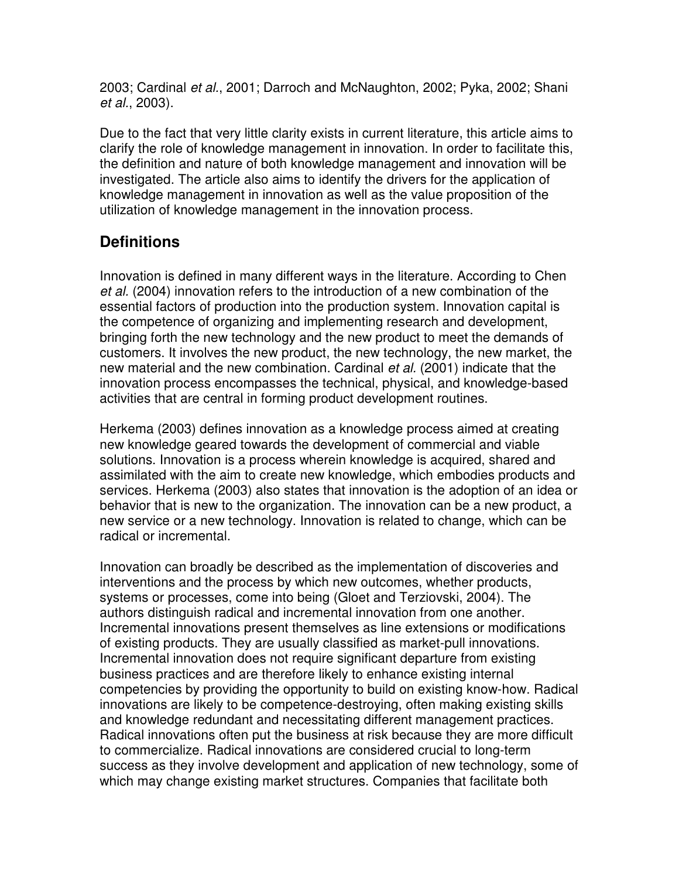2003; Cardinal *et al.*, 2001; Darroch and McNaughton, 2002; Pyka, 2002; Shani *et al.*, 2003).

Due to the fact that very little clarity exists in current literature, this article aims to clarify the role of knowledge management in innovation. In order to facilitate this, the definition and nature of both knowledge management and innovation will be investigated. The article also aims to identify the drivers for the application of knowledge management in innovation as well as the value proposition of the utilization of knowledge management in the innovation process.

# **Definitions**

Innovation is defined in many different ways in the literature. According to Chen *et al.* (2004) innovation refers to the introduction of a new combination of the essential factors of production into the production system. Innovation capital is the competence of organizing and implementing research and development, bringing forth the new technology and the new product to meet the demands of customers. It involves the new product, the new technology, the new market, the new material and the new combination. Cardinal *et al.* (2001) indicate that the innovation process encompasses the technical, physical, and knowledge-based activities that are central in forming product development routines.

Herkema (2003) defines innovation as a knowledge process aimed at creating new knowledge geared towards the development of commercial and viable solutions. Innovation is a process wherein knowledge is acquired, shared and assimilated with the aim to create new knowledge, which embodies products and services. Herkema (2003) also states that innovation is the adoption of an idea or behavior that is new to the organization. The innovation can be a new product, a new service or a new technology. Innovation is related to change, which can be radical or incremental.

Innovation can broadly be described as the implementation of discoveries and interventions and the process by which new outcomes, whether products, systems or processes, come into being (Gloet and Terziovski, 2004). The authors distinguish radical and incremental innovation from one another. Incremental innovations present themselves as line extensions or modifications of existing products. They are usually classified as market-pull innovations. Incremental innovation does not require significant departure from existing business practices and are therefore likely to enhance existing internal competencies by providing the opportunity to build on existing know-how. Radical innovations are likely to be competence-destroying, often making existing skills and knowledge redundant and necessitating different management practices. Radical innovations often put the business at risk because they are more difficult to commercialize. Radical innovations are considered crucial to long-term success as they involve development and application of new technology, some of which may change existing market structures. Companies that facilitate both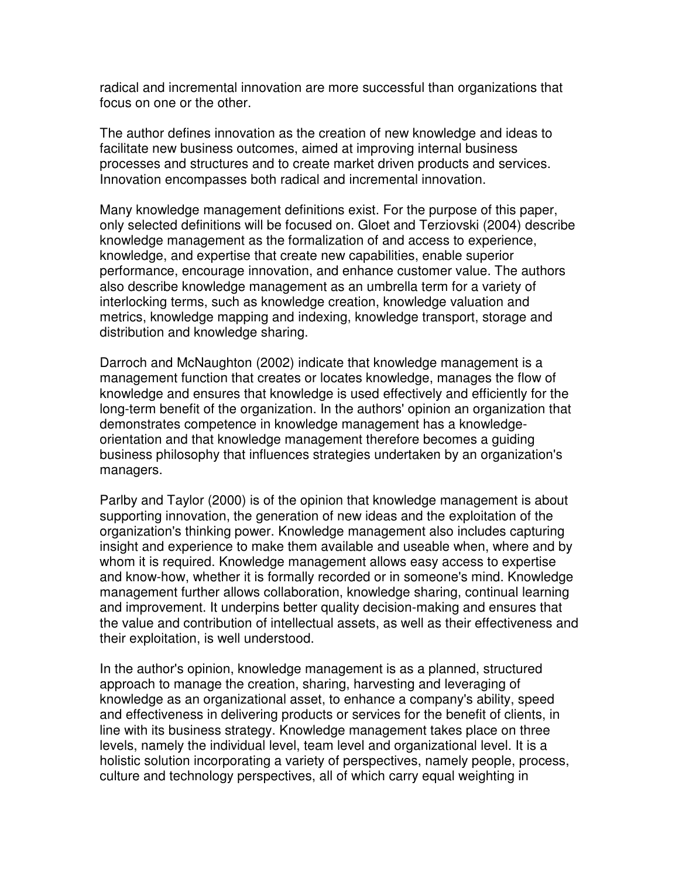radical and incremental innovation are more successful than organizations that focus on one or the other.

The author defines innovation as the creation of new knowledge and ideas to facilitate new business outcomes, aimed at improving internal business processes and structures and to create market driven products and services. Innovation encompasses both radical and incremental innovation.

Many knowledge management definitions exist. For the purpose of this paper, only selected definitions will be focused on. Gloet and Terziovski (2004) describe knowledge management as the formalization of and access to experience, knowledge, and expertise that create new capabilities, enable superior performance, encourage innovation, and enhance customer value. The authors also describe knowledge management as an umbrella term for a variety of interlocking terms, such as knowledge creation, knowledge valuation and metrics, knowledge mapping and indexing, knowledge transport, storage and distribution and knowledge sharing.

Darroch and McNaughton (2002) indicate that knowledge management is a management function that creates or locates knowledge, manages the flow of knowledge and ensures that knowledge is used effectively and efficiently for the long-term benefit of the organization. In the authors' opinion an organization that demonstrates competence in knowledge management has a knowledgeorientation and that knowledge management therefore becomes a guiding business philosophy that influences strategies undertaken by an organization's managers.

Parlby and Taylor (2000) is of the opinion that knowledge management is about supporting innovation, the generation of new ideas and the exploitation of the organization's thinking power. Knowledge management also includes capturing insight and experience to make them available and useable when, where and by whom it is required. Knowledge management allows easy access to expertise and know-how, whether it is formally recorded or in someone's mind. Knowledge management further allows collaboration, knowledge sharing, continual learning and improvement. It underpins better quality decision-making and ensures that the value and contribution of intellectual assets, as well as their effectiveness and their exploitation, is well understood.

In the author's opinion, knowledge management is as a planned, structured approach to manage the creation, sharing, harvesting and leveraging of knowledge as an organizational asset, to enhance a company's ability, speed and effectiveness in delivering products or services for the benefit of clients, in line with its business strategy. Knowledge management takes place on three levels, namely the individual level, team level and organizational level. It is a holistic solution incorporating a variety of perspectives, namely people, process, culture and technology perspectives, all of which carry equal weighting in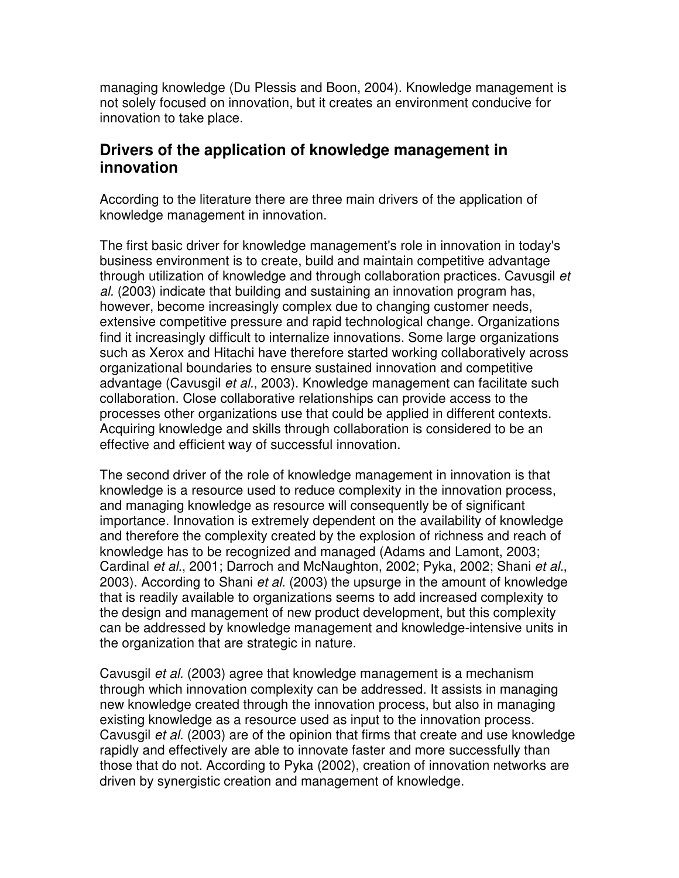managing knowledge (Du Plessis and Boon, 2004). Knowledge management is not solely focused on innovation, but it creates an environment conducive for innovation to take place.

#### **Drivers of the application of knowledge management in innovation**

According to the literature there are three main drivers of the application of knowledge management in innovation.

The first basic driver for knowledge management's role in innovation in today's business environment is to create, build and maintain competitive advantage through utilization of knowledge and through collaboration practices. Cavusgil *et al.* (2003) indicate that building and sustaining an innovation program has, however, become increasingly complex due to changing customer needs, extensive competitive pressure and rapid technological change. Organizations find it increasingly difficult to internalize innovations. Some large organizations such as Xerox and Hitachi have therefore started working collaboratively across organizational boundaries to ensure sustained innovation and competitive advantage (Cavusgil *et al.*, 2003). Knowledge management can facilitate such collaboration. Close collaborative relationships can provide access to the processes other organizations use that could be applied in different contexts. Acquiring knowledge and skills through collaboration is considered to be an effective and efficient way of successful innovation.

The second driver of the role of knowledge management in innovation is that knowledge is a resource used to reduce complexity in the innovation process, and managing knowledge as resource will consequently be of significant importance. Innovation is extremely dependent on the availability of knowledge and therefore the complexity created by the explosion of richness and reach of knowledge has to be recognized and managed (Adams and Lamont, 2003; Cardinal *et al.*, 2001; Darroch and McNaughton, 2002; Pyka, 2002; Shani *et al.*, 2003). According to Shani *et al.* (2003) the upsurge in the amount of knowledge that is readily available to organizations seems to add increased complexity to the design and management of new product development, but this complexity can be addressed by knowledge management and knowledge-intensive units in the organization that are strategic in nature.

Cavusgil *et al.* (2003) agree that knowledge management is a mechanism through which innovation complexity can be addressed. It assists in managing new knowledge created through the innovation process, but also in managing existing knowledge as a resource used as input to the innovation process. Cavusgil *et al.* (2003) are of the opinion that firms that create and use knowledge rapidly and effectively are able to innovate faster and more successfully than those that do not. According to Pyka (2002), creation of innovation networks are driven by synergistic creation and management of knowledge.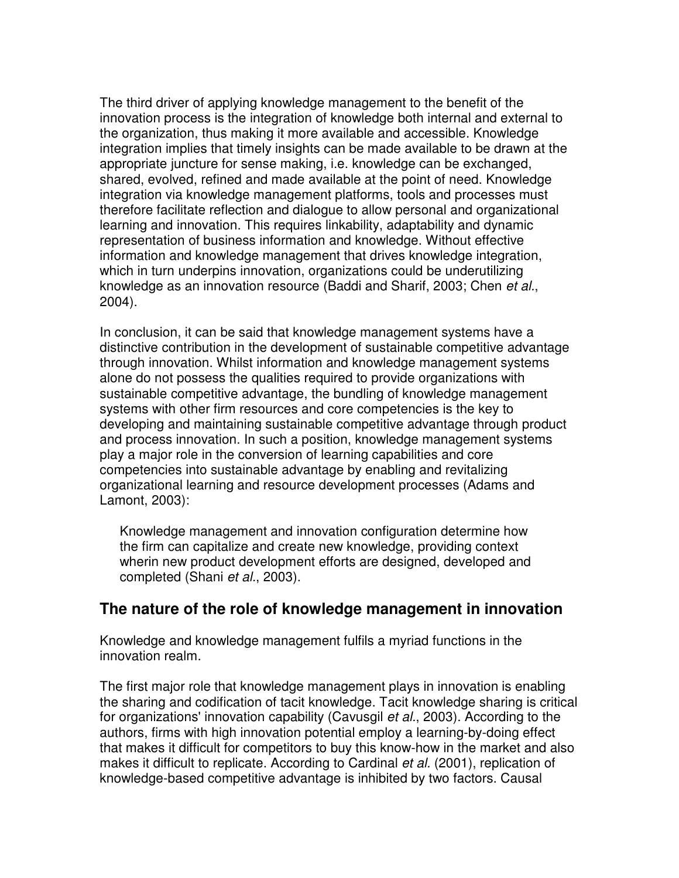The third driver of applying knowledge management to the benefit of the innovation process is the integration of knowledge both internal and external to the organization, thus making it more available and accessible. Knowledge integration implies that timely insights can be made available to be drawn at the appropriate juncture for sense making, i.e. knowledge can be exchanged, shared, evolved, refined and made available at the point of need. Knowledge integration via knowledge management platforms, tools and processes must therefore facilitate reflection and dialogue to allow personal and organizational learning and innovation. This requires linkability, adaptability and dynamic representation of business information and knowledge. Without effective information and knowledge management that drives knowledge integration, which in turn underpins innovation, organizations could be underutilizing knowledge as an innovation resource (Baddi and Sharif, 2003; Chen *et al.*, 2004).

In conclusion, it can be said that knowledge management systems have a distinctive contribution in the development of sustainable competitive advantage through innovation. Whilst information and knowledge management systems alone do not possess the qualities required to provide organizations with sustainable competitive advantage, the bundling of knowledge management systems with other firm resources and core competencies is the key to developing and maintaining sustainable competitive advantage through product and process innovation. In such a position, knowledge management systems play a major role in the conversion of learning capabilities and core competencies into sustainable advantage by enabling and revitalizing organizational learning and resource development processes (Adams and Lamont, 2003):

Knowledge management and innovation configuration determine how the firm can capitalize and create new knowledge, providing context wherin new product development efforts are designed, developed and completed (Shani *et al.*, 2003).

#### **The nature of the role of knowledge management in innovation**

Knowledge and knowledge management fulfils a myriad functions in the innovation realm.

The first major role that knowledge management plays in innovation is enabling the sharing and codification of tacit knowledge. Tacit knowledge sharing is critical for organizations' innovation capability (Cavusgil *et al.*, 2003). According to the authors, firms with high innovation potential employ a learning-by-doing effect that makes it difficult for competitors to buy this know-how in the market and also makes it difficult to replicate. According to Cardinal *et al.* (2001), replication of knowledge-based competitive advantage is inhibited by two factors. Causal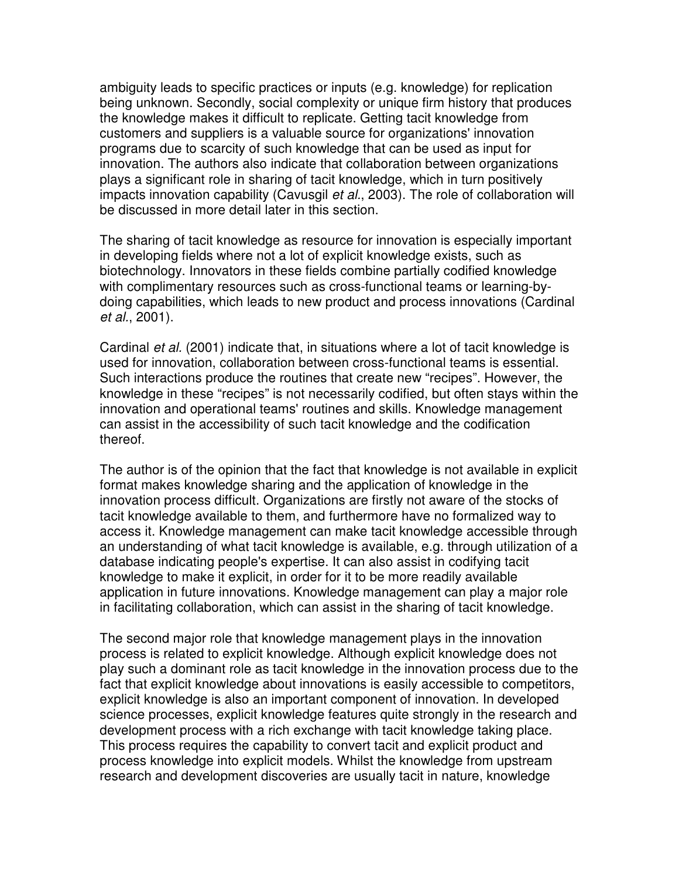ambiguity leads to specific practices or inputs (e.g. knowledge) for replication being unknown. Secondly, social complexity or unique firm history that produces the knowledge makes it difficult to replicate. Getting tacit knowledge from customers and suppliers is a valuable source for organizations' innovation programs due to scarcity of such knowledge that can be used as input for innovation. The authors also indicate that collaboration between organizations plays a significant role in sharing of tacit knowledge, which in turn positively impacts innovation capability (Cavusgil *et al.*, 2003). The role of collaboration will be discussed in more detail later in this section.

The sharing of tacit knowledge as resource for innovation is especially important in developing fields where not a lot of explicit knowledge exists, such as biotechnology. Innovators in these fields combine partially codified knowledge with complimentary resources such as cross-functional teams or learning-bydoing capabilities, which leads to new product and process innovations (Cardinal *et al.*, 2001).

Cardinal *et al.* (2001) indicate that, in situations where a lot of tacit knowledge is used for innovation, collaboration between cross-functional teams is essential. Such interactions produce the routines that create new "recipes". However, the knowledge in these "recipes" is not necessarily codified, but often stays within the innovation and operational teams' routines and skills. Knowledge management can assist in the accessibility of such tacit knowledge and the codification thereof.

The author is of the opinion that the fact that knowledge is not available in explicit format makes knowledge sharing and the application of knowledge in the innovation process difficult. Organizations are firstly not aware of the stocks of tacit knowledge available to them, and furthermore have no formalized way to access it. Knowledge management can make tacit knowledge accessible through an understanding of what tacit knowledge is available, e.g. through utilization of a database indicating people's expertise. It can also assist in codifying tacit knowledge to make it explicit, in order for it to be more readily available application in future innovations. Knowledge management can play a major role in facilitating collaboration, which can assist in the sharing of tacit knowledge.

The second major role that knowledge management plays in the innovation process is related to explicit knowledge. Although explicit knowledge does not play such a dominant role as tacit knowledge in the innovation process due to the fact that explicit knowledge about innovations is easily accessible to competitors, explicit knowledge is also an important component of innovation. In developed science processes, explicit knowledge features quite strongly in the research and development process with a rich exchange with tacit knowledge taking place. This process requires the capability to convert tacit and explicit product and process knowledge into explicit models. Whilst the knowledge from upstream research and development discoveries are usually tacit in nature, knowledge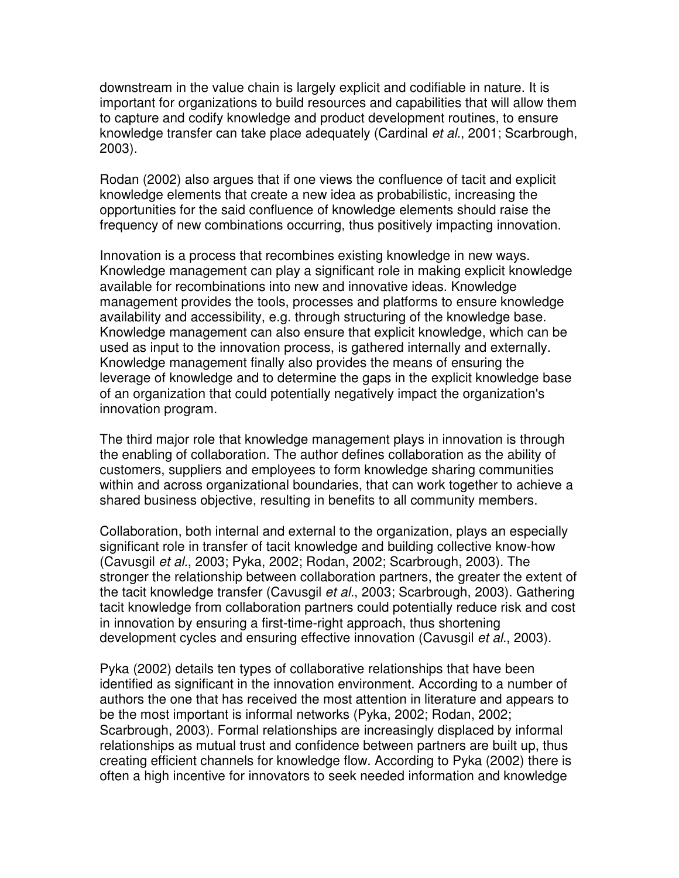downstream in the value chain is largely explicit and codifiable in nature. It is important for organizations to build resources and capabilities that will allow them to capture and codify knowledge and product development routines, to ensure knowledge transfer can take place adequately (Cardinal *et al.*, 2001; Scarbrough, 2003).

Rodan (2002) also argues that if one views the confluence of tacit and explicit knowledge elements that create a new idea as probabilistic, increasing the opportunities for the said confluence of knowledge elements should raise the frequency of new combinations occurring, thus positively impacting innovation.

Innovation is a process that recombines existing knowledge in new ways. Knowledge management can play a significant role in making explicit knowledge available for recombinations into new and innovative ideas. Knowledge management provides the tools, processes and platforms to ensure knowledge availability and accessibility, e.g. through structuring of the knowledge base. Knowledge management can also ensure that explicit knowledge, which can be used as input to the innovation process, is gathered internally and externally. Knowledge management finally also provides the means of ensuring the leverage of knowledge and to determine the gaps in the explicit knowledge base of an organization that could potentially negatively impact the organization's innovation program.

The third major role that knowledge management plays in innovation is through the enabling of collaboration. The author defines collaboration as the ability of customers, suppliers and employees to form knowledge sharing communities within and across organizational boundaries, that can work together to achieve a shared business objective, resulting in benefits to all community members.

Collaboration, both internal and external to the organization, plays an especially significant role in transfer of tacit knowledge and building collective know-how (Cavusgil *et al.*, 2003; Pyka, 2002; Rodan, 2002; Scarbrough, 2003). The stronger the relationship between collaboration partners, the greater the extent of the tacit knowledge transfer (Cavusgil *et al.*, 2003; Scarbrough, 2003). Gathering tacit knowledge from collaboration partners could potentially reduce risk and cost in innovation by ensuring a first-time-right approach, thus shortening development cycles and ensuring effective innovation (Cavusgil *et al.*, 2003).

Pyka (2002) details ten types of collaborative relationships that have been identified as significant in the innovation environment. According to a number of authors the one that has received the most attention in literature and appears to be the most important is informal networks (Pyka, 2002; Rodan, 2002; Scarbrough, 2003). Formal relationships are increasingly displaced by informal relationships as mutual trust and confidence between partners are built up, thus creating efficient channels for knowledge flow. According to Pyka (2002) there is often a high incentive for innovators to seek needed information and knowledge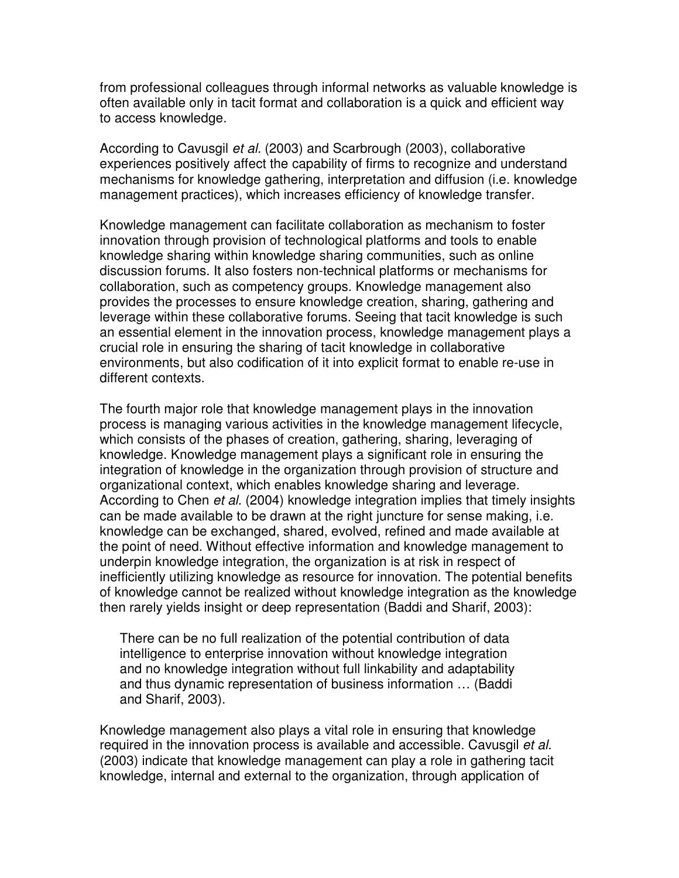from professional colleagues through informal networks as valuable knowledge is often available only in tacit format and collaboration is a quick and efficient way to access knowledge.

According to Cavusgil *et al.* (2003) and Scarbrough (2003), collaborative experiences positively affect the capability of firms to recognize and understand mechanisms for knowledge gathering, interpretation and diffusion (i.e. knowledge management practices), which increases efficiency of knowledge transfer.

Knowledge management can facilitate collaboration as mechanism to foster innovation through provision of technological platforms and tools to enable knowledge sharing within knowledge sharing communities, such as online discussion forums. It also fosters non-technical platforms or mechanisms for collaboration, such as competency groups. Knowledge management also provides the processes to ensure knowledge creation, sharing, gathering and leverage within these collaborative forums. Seeing that tacit knowledge is such an essential element in the innovation process, knowledge management plays a crucial role in ensuring the sharing of tacit knowledge in collaborative environments, but also codification of it into explicit format to enable re-use in different contexts.

The fourth major role that knowledge management plays in the innovation process is managing various activities in the knowledge management lifecycle, which consists of the phases of creation, gathering, sharing, leveraging of knowledge. Knowledge management plays a significant role in ensuring the integration of knowledge in the organization through provision of structure and organizational context, which enables knowledge sharing and leverage. According to Chen *et al.* (2004) knowledge integration implies that timely insights can be made available to be drawn at the right juncture for sense making, i.e. knowledge can be exchanged, shared, evolved, refined and made available at the point of need. Without effective information and knowledge management to underpin knowledge integration, the organization is at risk in respect of inefficiently utilizing knowledge as resource for innovation. The potential benefits of knowledge cannot be realized without knowledge integration as the knowledge then rarely yields insight or deep representation (Baddi and Sharif, 2003):

There can be no full realization of the potential contribution of data intelligence to enterprise innovation without knowledge integration and no knowledge integration without full linkability and adaptability and thus dynamic representation of business information … (Baddi and Sharif, 2003).

Knowledge management also plays a vital role in ensuring that knowledge required in the innovation process is available and accessible. Cavusgil *et al.* (2003) indicate that knowledge management can play a role in gathering tacit knowledge, internal and external to the organization, through application of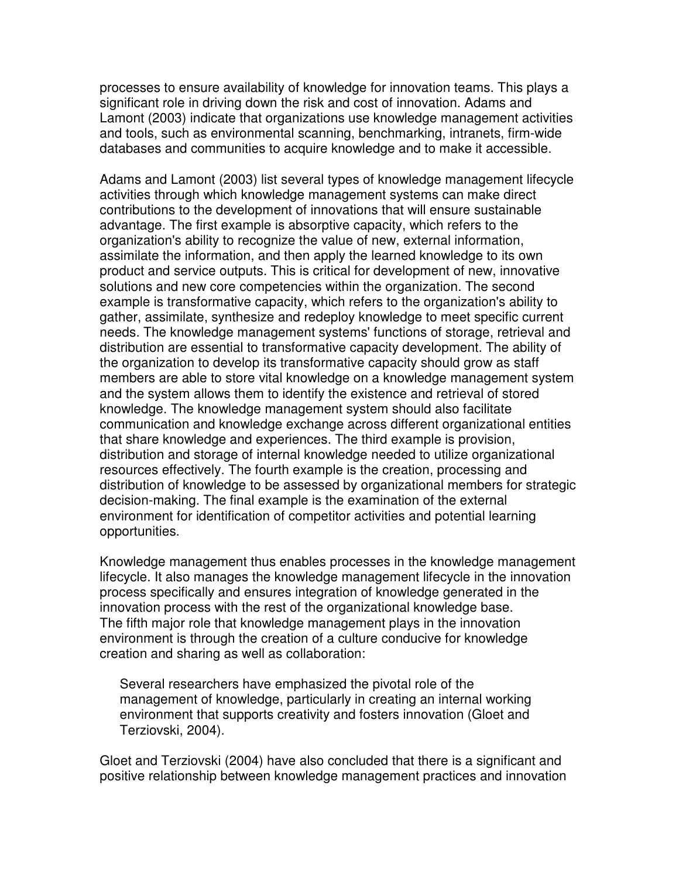processes to ensure availability of knowledge for innovation teams. This plays a significant role in driving down the risk and cost of innovation. Adams and Lamont (2003) indicate that organizations use knowledge management activities and tools, such as environmental scanning, benchmarking, intranets, firm-wide databases and communities to acquire knowledge and to make it accessible.

Adams and Lamont (2003) list several types of knowledge management lifecycle activities through which knowledge management systems can make direct contributions to the development of innovations that will ensure sustainable advantage. The first example is absorptive capacity, which refers to the organization's ability to recognize the value of new, external information, assimilate the information, and then apply the learned knowledge to its own product and service outputs. This is critical for development of new, innovative solutions and new core competencies within the organization. The second example is transformative capacity, which refers to the organization's ability to gather, assimilate, synthesize and redeploy knowledge to meet specific current needs. The knowledge management systems' functions of storage, retrieval and distribution are essential to transformative capacity development. The ability of the organization to develop its transformative capacity should grow as staff members are able to store vital knowledge on a knowledge management system and the system allows them to identify the existence and retrieval of stored knowledge. The knowledge management system should also facilitate communication and knowledge exchange across different organizational entities that share knowledge and experiences. The third example is provision, distribution and storage of internal knowledge needed to utilize organizational resources effectively. The fourth example is the creation, processing and distribution of knowledge to be assessed by organizational members for strategic decision-making. The final example is the examination of the external environment for identification of competitor activities and potential learning opportunities.

Knowledge management thus enables processes in the knowledge management lifecycle. It also manages the knowledge management lifecycle in the innovation process specifically and ensures integration of knowledge generated in the innovation process with the rest of the organizational knowledge base. The fifth major role that knowledge management plays in the innovation environment is through the creation of a culture conducive for knowledge creation and sharing as well as collaboration:

Several researchers have emphasized the pivotal role of the management of knowledge, particularly in creating an internal working environment that supports creativity and fosters innovation (Gloet and Terziovski, 2004).

Gloet and Terziovski (2004) have also concluded that there is a significant and positive relationship between knowledge management practices and innovation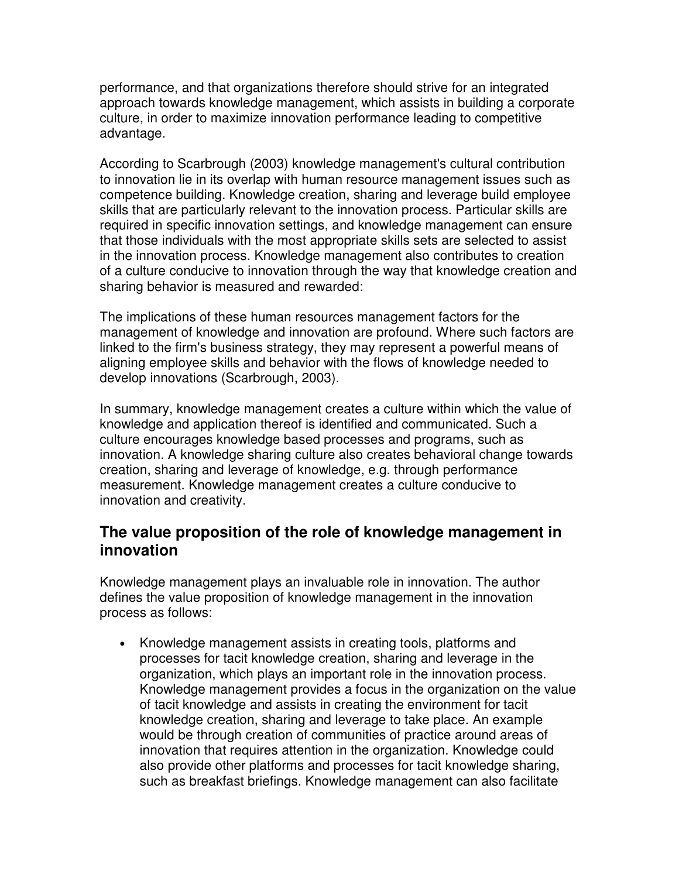performance, and that organizations therefore should strive for an integrated approach towards knowledge management, which assists in building a corporate culture, in order to maximize innovation performance leading to competitive advantage.

According to Scarbrough (2003) knowledge management's cultural contribution to innovation lie in its overlap with human resource management issues such as competence building. Knowledge creation, sharing and leverage build employee skills that are particularly relevant to the innovation process. Particular skills are required in specific innovation settings, and knowledge management can ensure that those individuals with the most appropriate skills sets are selected to assist in the innovation process. Knowledge management also contributes to creation of a culture conducive to innovation through the way that knowledge creation and sharing behavior is measured and rewarded:

The implications of these human resources management factors for the management of knowledge and innovation are profound. Where such factors are linked to the firm's business strategy, they may represent a powerful means of aligning employee skills and behavior with the flows of knowledge needed to develop innovations (Scarbrough, 2003).

In summary, knowledge management creates a culture within which the value of knowledge and application thereof is identified and communicated. Such a culture encourages knowledge based processes and programs, such as innovation. A knowledge sharing culture also creates behavioral change towards creation, sharing and leverage of knowledge, e.g. through performance measurement. Knowledge management creates a culture conducive to innovation and creativity.

#### **The value proposition of the role of knowledge management in innovation**

Knowledge management plays an invaluable role in innovation. The author defines the value proposition of knowledge management in the innovation process as follows:

• Knowledge management assists in creating tools, platforms and processes for tacit knowledge creation, sharing and leverage in the organization, which plays an important role in the innovation process. Knowledge management provides a focus in the organization on the value of tacit knowledge and assists in creating the environment for tacit knowledge creation, sharing and leverage to take place. An example would be through creation of communities of practice around areas of innovation that requires attention in the organization. Knowledge could also provide other platforms and processes for tacit knowledge sharing, such as breakfast briefings. Knowledge management can also facilitate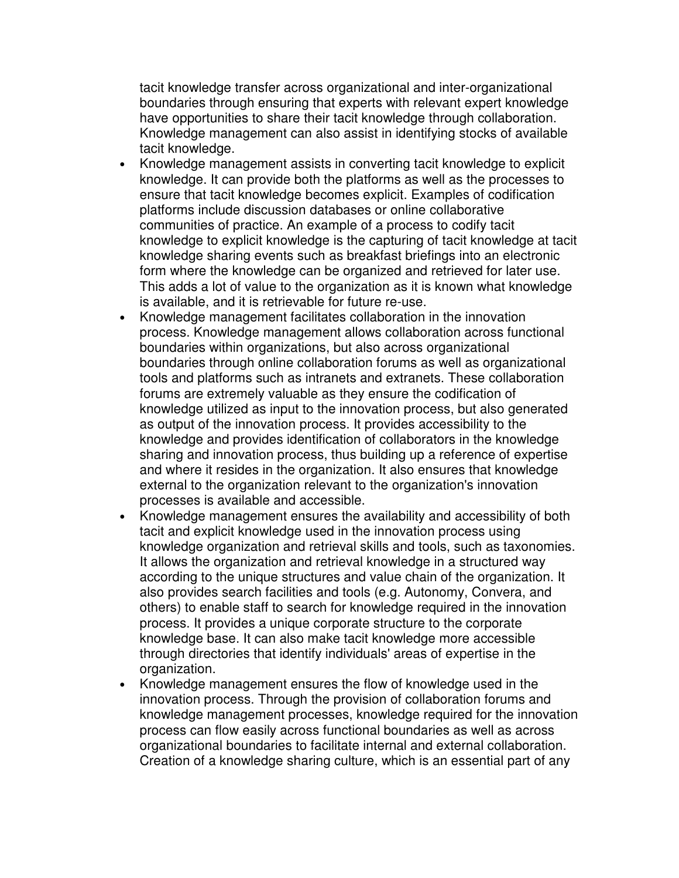tacit knowledge transfer across organizational and inter-organizational boundaries through ensuring that experts with relevant expert knowledge have opportunities to share their tacit knowledge through collaboration. Knowledge management can also assist in identifying stocks of available tacit knowledge.

- Knowledge management assists in converting tacit knowledge to explicit knowledge. It can provide both the platforms as well as the processes to ensure that tacit knowledge becomes explicit. Examples of codification platforms include discussion databases or online collaborative communities of practice. An example of a process to codify tacit knowledge to explicit knowledge is the capturing of tacit knowledge at tacit knowledge sharing events such as breakfast briefings into an electronic form where the knowledge can be organized and retrieved for later use. This adds a lot of value to the organization as it is known what knowledge is available, and it is retrievable for future re-use.
- Knowledge management facilitates collaboration in the innovation process. Knowledge management allows collaboration across functional boundaries within organizations, but also across organizational boundaries through online collaboration forums as well as organizational tools and platforms such as intranets and extranets. These collaboration forums are extremely valuable as they ensure the codification of knowledge utilized as input to the innovation process, but also generated as output of the innovation process. It provides accessibility to the knowledge and provides identification of collaborators in the knowledge sharing and innovation process, thus building up a reference of expertise and where it resides in the organization. It also ensures that knowledge external to the organization relevant to the organization's innovation processes is available and accessible.
- Knowledge management ensures the availability and accessibility of both tacit and explicit knowledge used in the innovation process using knowledge organization and retrieval skills and tools, such as taxonomies. It allows the organization and retrieval knowledge in a structured way according to the unique structures and value chain of the organization. It also provides search facilities and tools (e.g. Autonomy, Convera, and others) to enable staff to search for knowledge required in the innovation process. It provides a unique corporate structure to the corporate knowledge base. It can also make tacit knowledge more accessible through directories that identify individuals' areas of expertise in the organization.
- Knowledge management ensures the flow of knowledge used in the innovation process. Through the provision of collaboration forums and knowledge management processes, knowledge required for the innovation process can flow easily across functional boundaries as well as across organizational boundaries to facilitate internal and external collaboration. Creation of a knowledge sharing culture, which is an essential part of any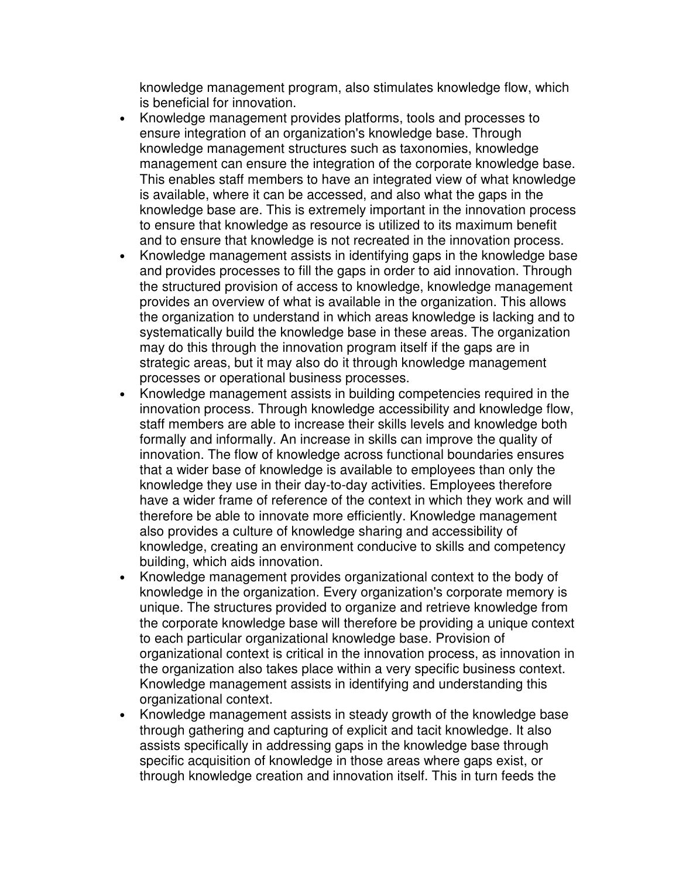knowledge management program, also stimulates knowledge flow, which is beneficial for innovation.

- Knowledge management provides platforms, tools and processes to ensure integration of an organization's knowledge base. Through knowledge management structures such as taxonomies, knowledge management can ensure the integration of the corporate knowledge base. This enables staff members to have an integrated view of what knowledge is available, where it can be accessed, and also what the gaps in the knowledge base are. This is extremely important in the innovation process to ensure that knowledge as resource is utilized to its maximum benefit and to ensure that knowledge is not recreated in the innovation process.
- Knowledge management assists in identifying gaps in the knowledge base and provides processes to fill the gaps in order to aid innovation. Through the structured provision of access to knowledge, knowledge management provides an overview of what is available in the organization. This allows the organization to understand in which areas knowledge is lacking and to systematically build the knowledge base in these areas. The organization may do this through the innovation program itself if the gaps are in strategic areas, but it may also do it through knowledge management processes or operational business processes.
- Knowledge management assists in building competencies required in the innovation process. Through knowledge accessibility and knowledge flow, staff members are able to increase their skills levels and knowledge both formally and informally. An increase in skills can improve the quality of innovation. The flow of knowledge across functional boundaries ensures that a wider base of knowledge is available to employees than only the knowledge they use in their day-to-day activities. Employees therefore have a wider frame of reference of the context in which they work and will therefore be able to innovate more efficiently. Knowledge management also provides a culture of knowledge sharing and accessibility of knowledge, creating an environment conducive to skills and competency building, which aids innovation.
- Knowledge management provides organizational context to the body of knowledge in the organization. Every organization's corporate memory is unique. The structures provided to organize and retrieve knowledge from the corporate knowledge base will therefore be providing a unique context to each particular organizational knowledge base. Provision of organizational context is critical in the innovation process, as innovation in the organization also takes place within a very specific business context. Knowledge management assists in identifying and understanding this organizational context.
- Knowledge management assists in steady growth of the knowledge base through gathering and capturing of explicit and tacit knowledge. It also assists specifically in addressing gaps in the knowledge base through specific acquisition of knowledge in those areas where gaps exist, or through knowledge creation and innovation itself. This in turn feeds the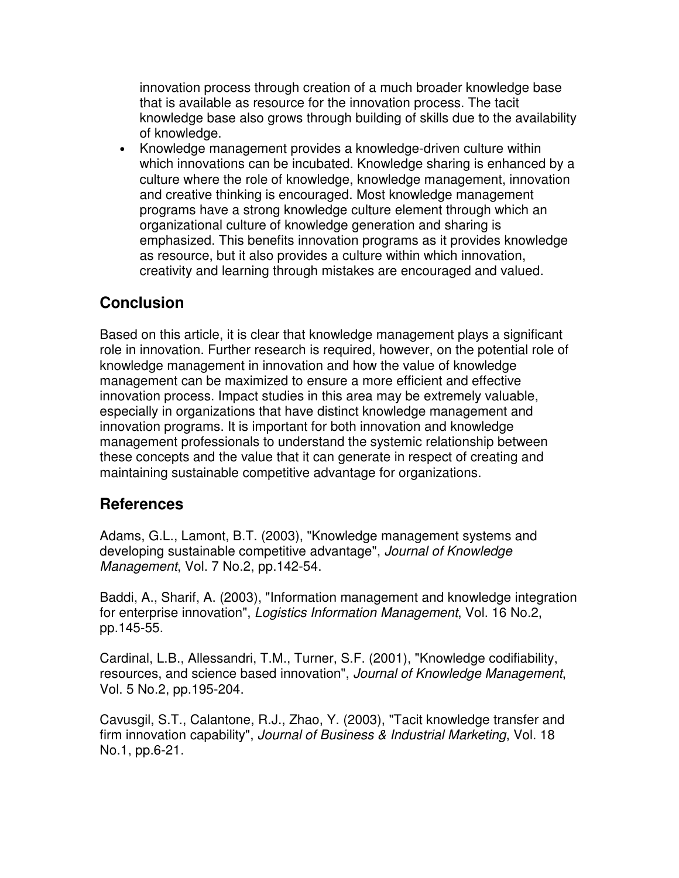innovation process through creation of a much broader knowledge base that is available as resource for the innovation process. The tacit knowledge base also grows through building of skills due to the availability of knowledge.

• Knowledge management provides a knowledge-driven culture within which innovations can be incubated. Knowledge sharing is enhanced by a culture where the role of knowledge, knowledge management, innovation and creative thinking is encouraged. Most knowledge management programs have a strong knowledge culture element through which an organizational culture of knowledge generation and sharing is emphasized. This benefits innovation programs as it provides knowledge as resource, but it also provides a culture within which innovation, creativity and learning through mistakes are encouraged and valued.

### **Conclusion**

Based on this article, it is clear that knowledge management plays a significant role in innovation. Further research is required, however, on the potential role of knowledge management in innovation and how the value of knowledge management can be maximized to ensure a more efficient and effective innovation process. Impact studies in this area may be extremely valuable, especially in organizations that have distinct knowledge management and innovation programs. It is important for both innovation and knowledge management professionals to understand the systemic relationship between these concepts and the value that it can generate in respect of creating and maintaining sustainable competitive advantage for organizations.

### **References**

Adams, G.L., Lamont, B.T. (2003), "Knowledge management systems and developing sustainable competitive advantage", *Journal of Knowledge Management*, Vol. 7 No.2, pp.142-54.

Baddi, A., Sharif, A. (2003), "Information management and knowledge integration for enterprise innovation", *Logistics Information Management*, Vol. 16 No.2, pp.145-55.

Cardinal, L.B., Allessandri, T.M., Turner, S.F. (2001), "Knowledge codifiability, resources, and science based innovation", *Journal of Knowledge Management*, Vol. 5 No.2, pp.195-204.

Cavusgil, S.T., Calantone, R.J., Zhao, Y. (2003), "Tacit knowledge transfer and firm innovation capability", *Journal of Business & Industrial Marketing*, Vol. 18 No.1, pp.6-21.